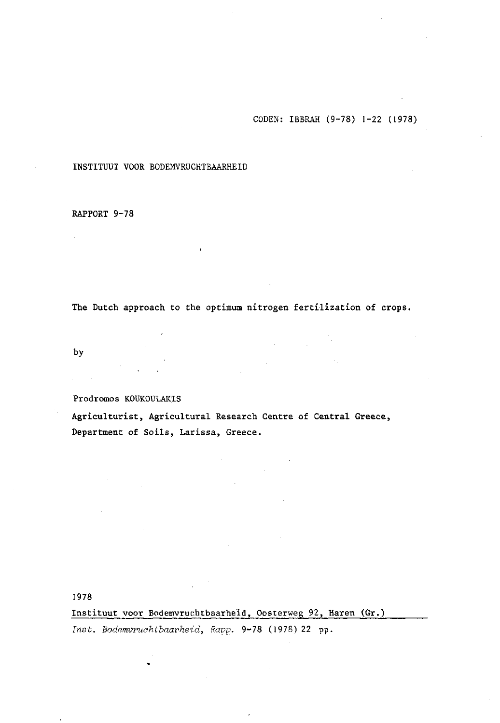CÛDEN: IBBRAH (9-78) **1-22 (1978)** 

#### **INSTITUUT VOOR** BODEMVRUCHTBAARHEID

#### **RAPPORT 9-78**

**The Dutch approach to the optimum nitrogen fertilization of crops.** 

**by** 

**Prodromos KOUKOULAKIS** 

**Agriculturist, Agricultural Research Centre of Central Greece, Department of Soils, Larissa, Greece.** 

**1978** 

**Instituut voor Bodemvruchtbaarheid, Oosterweg 92, Haren (Gr.)**  *Tnst. Bodemvruchtbaarheid, Rapp.* **9-78** (1978)22 pp.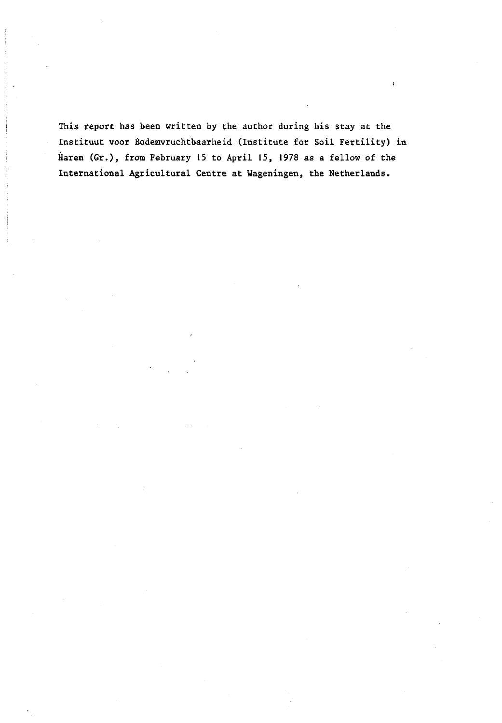This report has been written by the author during his stay at the Instituut voor Bodemvruchtbaarheid (Institute for Soil Fertility) in Haren (Gr.), from February 15 to April 15, 1978 as a fellow of the International Agricultural Centre at Wageningen, the Netherlands.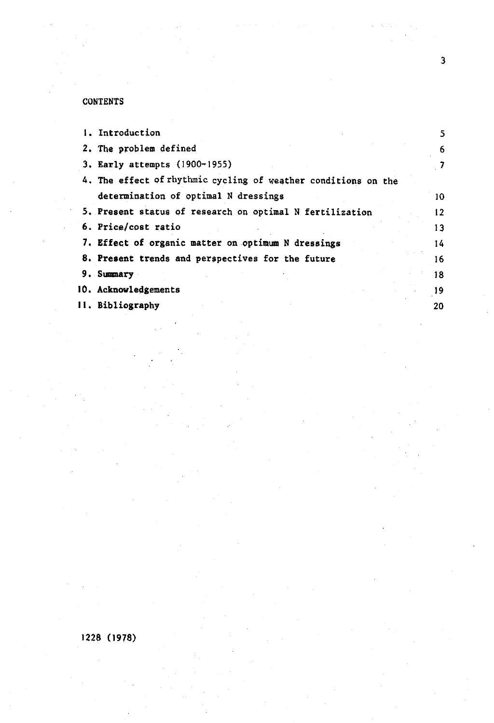# **CONTENTS**

| <b>1. Introduction</b>                                         | 5  |
|----------------------------------------------------------------|----|
| 2. The problem defined                                         | 6  |
| 3. Early attempts (1900-1955)                                  |    |
| 4. The effect of rhythmic cycling of weather conditions on the |    |
| determination of optimal N dressings                           | 10 |
| 5. Present status of research on optimal N fertilization       | 12 |
| 6. Price/cost ratio                                            | 13 |
| 7. Effect of organic matter on optimum N dressings             | 14 |
| 8. Present trends and perspectives for the future              | 16 |
| 9. Summary                                                     | 18 |
| 10. Acknowledgements                                           | 19 |
| II. Bibliography                                               | 20 |

# 1228 (1978)

 $\overline{\mathbf{3}}$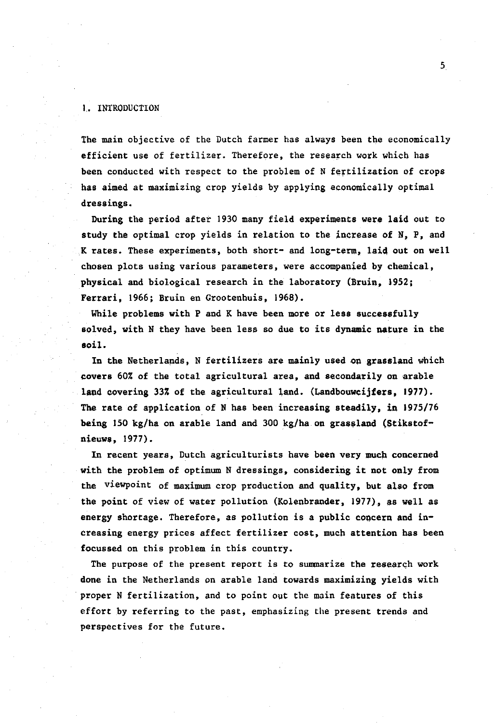#### 1. INTRODUCTION

The main objective of the Dutch farmer has always been the economically efficient use of fertilizer. Therefore, the research work which has been conducted with respect to the problem of N fertilization of crops has aimed at maximizing crop yields by applying economically optimal dressings.

During the period after 1930 many field experiments were laid out to study the optimal crop yields in relation to the increase of N, P, and K rates. These experiments, both short- and long-term, laid out on well chosen plots using various parameters, were accompanied by chemical, physical and biological research in the laboratory (Bruin, 1952; Ferrari, 1966; Bruin en Grootenhuis, 1968).

While problems with P and K have been more or less successfully solved, with N they have been less so due to its dynamic nature in the soil.

In the Netherlands, N fertilizers are mainly used on grassland which covers 60% of the total agricultural area, and secondarily on arable land covering 33% of the agricultural land. (Landbouwcijfers, 1977). The rate of application of N has been increasing steadily, in 1975/76 being 150 kg/ha on arable land and 300 kg/ha on grassland (Stikstofnieuws, 1977).

In recent years, Dutch agriculturists have been very much concerned with the problem of optimum N dressings, considering it not only from the viewpoint of maximum crop production and quality, but also from the point of view of water pollution (Kolenbrander, 1977), as well as energy shortage. Therefore, as pollution is a public concern and increasing energy prices affect fertilizer cost, much attention has been focussed on this problem in this country.

The purpose of the present report is to summarize the research work done in the Netherlands on arable land towards maximizing yields with proper N fertilization, and to point out the main features of this effort by referring to the past, emphasizing the present trends and perspectives for the future.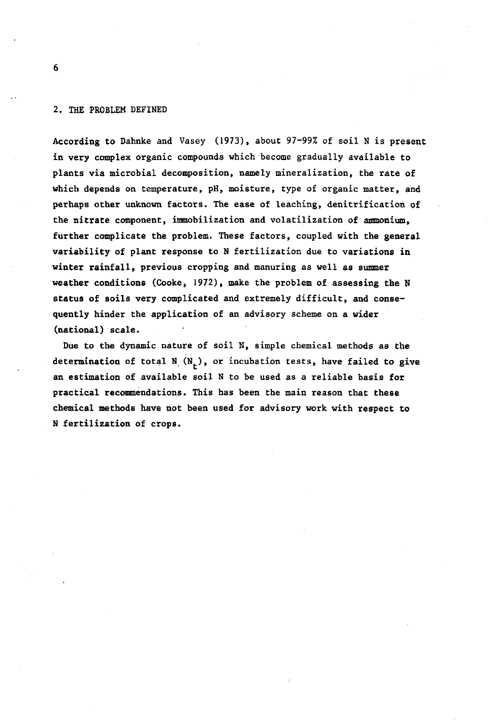#### 2. THE PROBLEM DEFINED

According to Dahnke and Vasey (1973), about 97-99% of soil N is present in very complex organic compounds which become gradually available to plants via microbial decomposition, namely mineralization, the rate of which depends on temperature, pH, moisture, type of organic matter, and perhaps other unknown factors. The ease of leaching, denitrification of the nitrate component, immobilization and volatilization of ammonium, further complicate the problem. These factors, coupled with the general variability of plant response to N fertilization due to variations in winter rainfall, previous cropping and manuring as well as summer weather conditions (Cooke, 1972), make the problem of assessing the N status of soils very complicated and extremely difficult, and consequently hinder the application of an advisory scheme on a wider (national) scale.

Due to the dynamic nature of soil N, simple chemical methods as the determination of total  $N_{\mu}$  ( $N_{\mu}$ ), or incubation tests, have failed to give an estimation of available soil N to be used as a reliable basis for practical recommendations. This has been the main reason that these chemical methods have not been used for advisory work with respect to N fertilization of crops.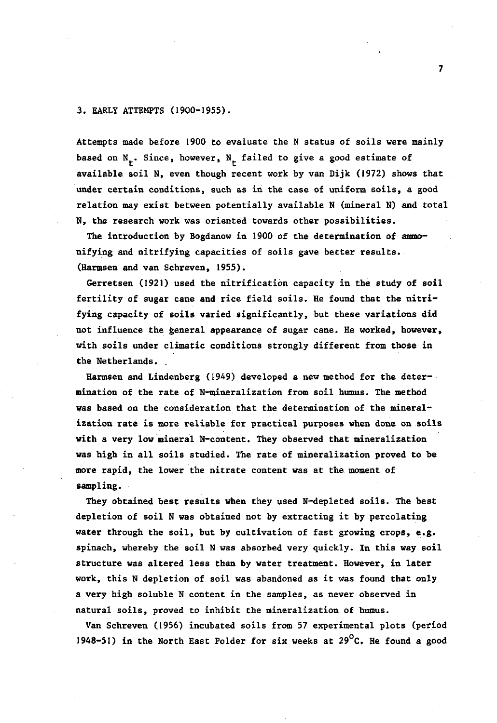#### 3. EARLY ATTEMPTS (1900-1955).

Attempts made before 1900 to evaluate the N status of soils were mainly based on  $N_r$ . Since, however,  $N_r$  failed to give a good estimate of available soil N, even though recent work by van Dijk (1972) shows that under certain conditions, such as in the case of uniform soils, a good relation may exist between potentially available N (mineral N) and total N, the research work was oriented towards other possibilities.

The introduction by Bogdanow in 1900 of the determination of ammonifying and nitrifying capacities of soils gave better results. (Harmsen and van Schreven, 1955).

Gerretsen (1921) used the nitrification capacity in the study of soil fertility of sugar cane and rice field soils. He found that the nitrifying capacity of soils varied significantly, but these variations did not influence the general appearance of sugar cane. He worked, however, with soils under climatic conditions strongly different from those in the Netherlands. .

Harmsen and Lindenberg (1949) developed a new method for the determination of the rate of N-mineralization from soil humus. The method was based on the consideration that the determination of the mineralization rate is more reliable for practical purposes when done on soils with a very low mineral N-content. They observed that mineralization was high in all soils studied. The rate of mineralization proved to be more rapid, the lower the nitrate content was at the moment of sampling.

They obtained best results when they used N-depleted soils. The best depletion of soil N was obtained not by extracting it by percolating water through the soil, but by cultivation of fast growing crops, e.g. spinach, whereby the soil N was absorbed very quickly. In this way soil structure was altered less than by water treatment. However, in later work, this N depletion of soil was abandoned as it was found that only a very high soluble N content in the samples, as never observed in natural soils, proved to inhibit the mineralization of humus.

Van Schreven (1956) incubated soils from 57 experimental plots (period 1948-51) in the North East Polder for six weeks at  $29^{\circ}$ C. He found a good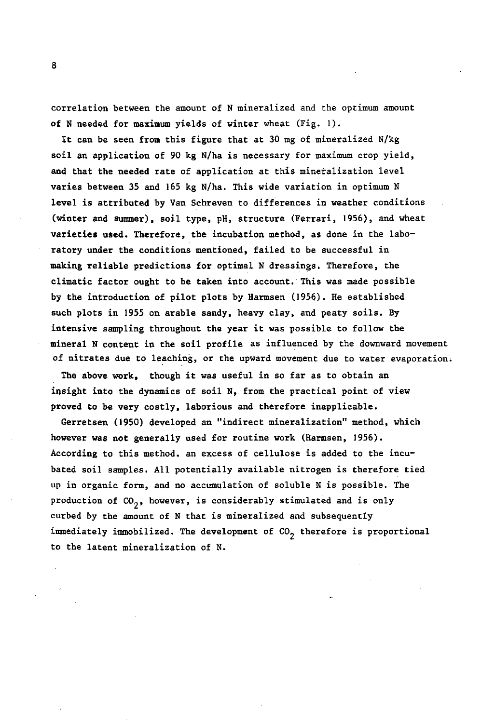correlation between the amount of N mineralized and the optimum amount of N needed for maximum yields of winter wheat (Fig. 1).

It can be seen from this figure that at 30 mg of mineralized N/kg soil an application of 90 kg N/ha is necessary for maximum crop yield, and that the needed rate of application at this mineralization level varies between 35 and 165 kg N/ha. This wide variation in optimum N level is attributed by Van Schreven to differences in weather conditions (winter and summer), soil type, pH, structure (Ferrari, 1956), and wheat varieties used. Therefore, the incubation method, as done in the laboratory under the conditions mentioned, failed to be successful in making reliable predictions for optimal N dressings. Therefore, the climatic factor ought to be taken into account. This was made possible by the introduction of pilot plots by Harmsen (1956). He established such plots in 1955 on arable sandy, heavy clay, and peaty soils. By intensive sampling throughout the year it was possible to follow the mineral N content in the soil profile as influenced by the downward movement of nitrates due to leaching, or the upward movement due to water evaporation;

The above work, though it was useful in so far as to obtain an insight into the dynamics of soil N, from the practical point of view proved to be very costly, laborious and therefore inapplicable.

Gerretsen (1950) developed an "indirect mineralization" method, which however was not generally used for routine work (Harmsen, 1956). According to this method, an excess of cellulose is added to the incubated soil samples. All potentially available nitrogen is therefore tied up in organic form, and no accumulation of soluble N is possible. The production of  $CO_2$ , however, is considerably stimulated and is only curbed by the amount of N that is mineralized and subsequently immediately immobilized. The development of  $CO<sub>2</sub>$  therefore is proportional to the latent mineralization of N.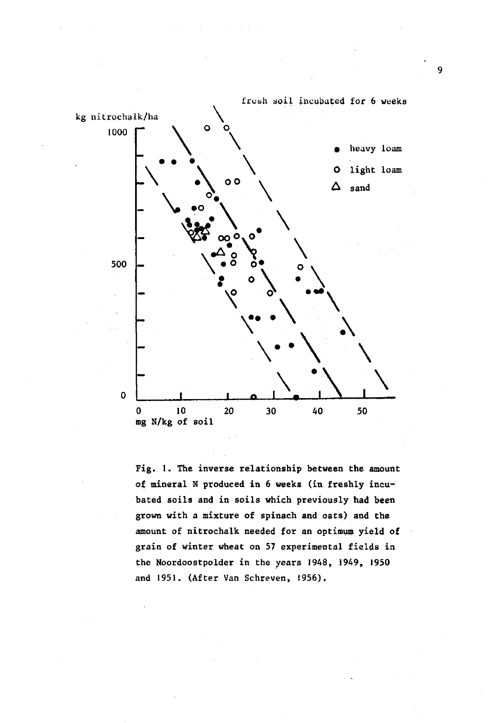

Fig, 1. The inverse relationship between the amount of mineral N produced in 6 weeks (in freshly incubated soils and in soils which previously had been grown with a mixture of spinach and oats) and the amount of nitrochalk needed for an optimum yield of grain of winter wheat on 57 experimental fields in the Noordoostpolder in the years 1948, 1949, 1950 and 1951. (After Van Schreven, 1956).

 $\overline{9}$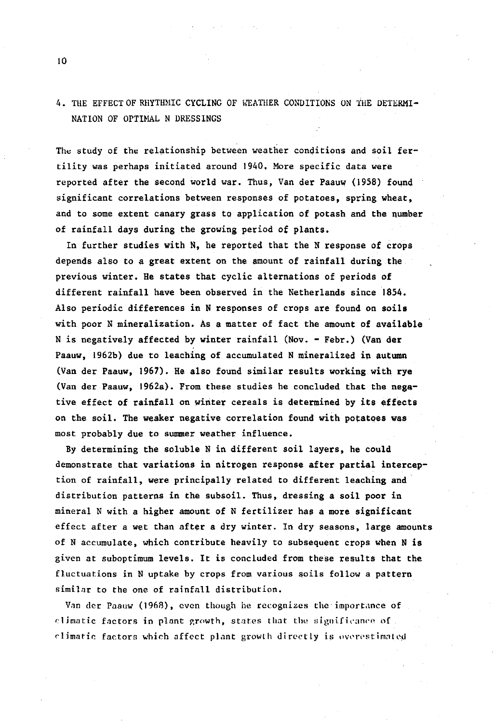### 4. THE EFFECT OF RHYTHMIC CYCLING OF WEATHER CONDITIONS ON THE DETERMI-NATION OF OPTIMAL N DRESSINGS

The study of the relationship between weather conditions and soil fertility was perhaps initiated around 1940, More specific data were reported after the second world war. Thus, Van der Paauw (1958) found significant correlations between responses of potatoes, spring wheat, and to some extent canary grass to application of potash and the number of rainfall days during the growing period of plants.

In further studies with N, he reported that the N response of crops depends also to a great extent on the amount of rainfall during the previous winter. He states that cyclic alternations of periods of different rainfall have been observed in the Netherlands since 1854. Also periodic differences in N responses of crops are found on soils with poor N mineralization. As a matter of fact the amount of available N is negatively affected by winter rainfall (Nov. - Febr.) (Van der Paauw, 1962b) due to leaching of accumulated N mineralized in autumn (Van der Paauw, 1967). He also found similar results working with rye (Van der Paauw, 1962a). From these studies he concluded that the negative effect of rainfall on winter cereals is determined by its effects on the soil. The weaker negative correlation found with potatoes was most probably due to summer weather influence.

By determining the soluble N in different soil layers, he could demonstrate that variations in nitrogen response after partial interception of rainfall, were principally related to different leaching and distribution patterns in the subsoil. Thus, dressing a soil poor in mineral N with a higher amount of N fertilizer has *a,* more significant effect after a wet than after a dry winter. In dry seasons, large amounts of N accumulate, which contribute heavily to subsequent crops when N is given at suboptimum levels. It is concluded from these results that the fluctuations in N uptake by crops from various soils follow a pattern similar to the one of rainfall distribution.

Van der Paauw (1968), even though he recognizes the importance of climatic factors in plant growth, states that the aignificance of climatic factors which affect plant growth directly is overestimated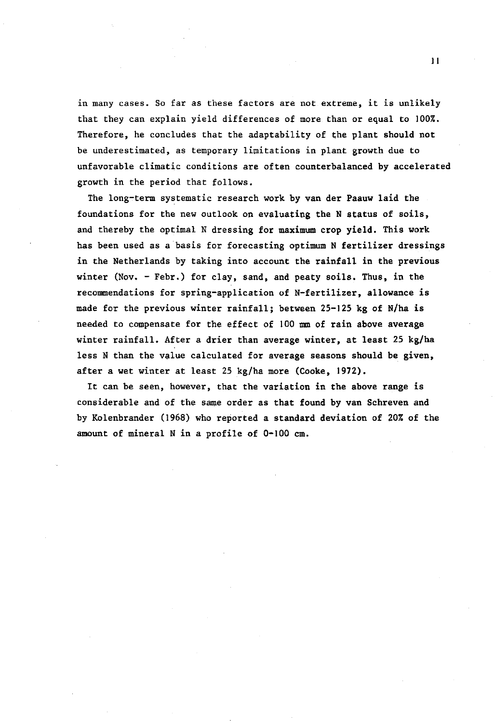in many cases. So far as these factors are not extreme, it is unlikely that they can explain yield differences of more than or equal to 100%. Therefore, he concludes that the adaptability of the plant should not be underestimated, as temporary limitations in plant growth due to unfavorable climatic conditions are often counterbalanced by accelerated growth in the period that follows.

The long-term systematic research work by van der Faauw laid the foundations for the new outlook on evaluating the N status of soils, and thereby the optimal N dressing for maximum crop yield. This work has been used as a basis for forecasting optimum N fertilizer dressings in the Netherlands by taking into account the rainfall in the previous winter (Nov. - Febr.) for clay, sand, and peaty soils. Thus, in the recommendations for spring-application of N-fertilizer, allowance is made for the previous winter rainfall; between 25-125 kg of N/ha is needed to compensate for the effect of 100 mm of rain above average winter rainfall. After a drier than average winter, at least 25 kg/ha less N than the value calculated for average seasons should be given, after a wet winter at least 25 kg/ha more (Cooke, 1972).

It can be seen, however, that the variation in the above range is considerable and of the same order as that found by van Schreven and by Kolenbrander (1968) who reported a standard deviation of 20% of the amount of mineral N in a profile of 0-100 cm.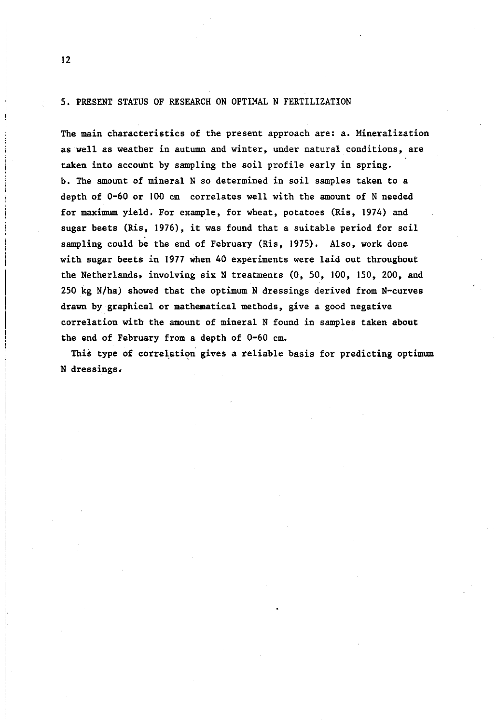#### 5. PRESENT STATUS OF RESEARCH ON OPTIMAL N FERTILIZATION

The main characteristics of the present approach are: a. Mineralization as well as weather in autumn and winter, under natural conditions, are taken into account by sampling the soil profile early in spring, b. The amount of mineral N so determined in soil samples taken to a depth of 0-60 or 100 cm correlates well with the amount of N needed for maximum yield. For example, for wheat, potatoes (Ris, 1974) and sugar beets (Ris, 1976), it was found that a suitable period for soil sampling could be the end of February (Ris, 1975). Also, work done with sugar beets in 1977 when 40 experiments were laid out throughout the Netherlands» involving six N treatments (0, 50, 100, 150, 200, and 250 kg N/ha) showed that the optimum N dressings derived from N-curves drawn by graphical or mathematical methods, give a good negative correlation with the amount of mineral N found in samples taken about the end of February from a depth of 0-60 cm.

This type of correlation gives a reliable basis for predicting optimum N dressings<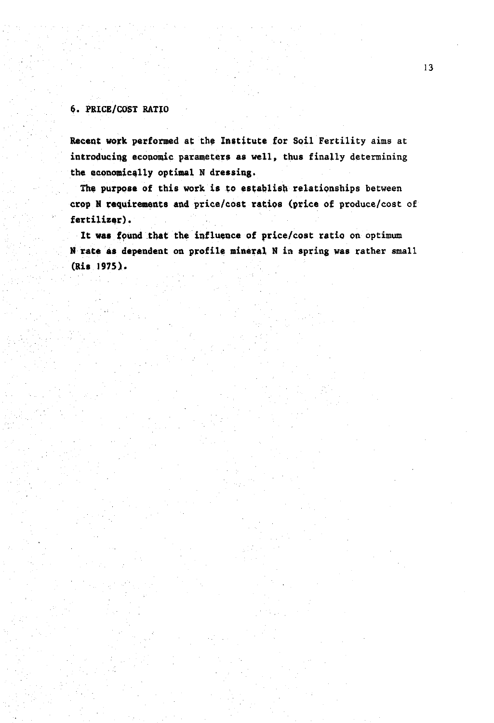### **\$. PRICE/COST RATIO**

**Recent work performed** at **the Institute for Soil** Fertility aims at **introducing economic** parameters **as** well, thus finally determining **the economically optimal N dressing.** 

**The purpose of this work is to establish** relationships between **crop N requirements and** price/cost **ratios (price of** produce/cost of **fertilizer).** 

**It was found that the influence of price/cost** ratio on optimum **N rate as dependent on profile mineral N** in spring **was** rather small **(Ris 1975).**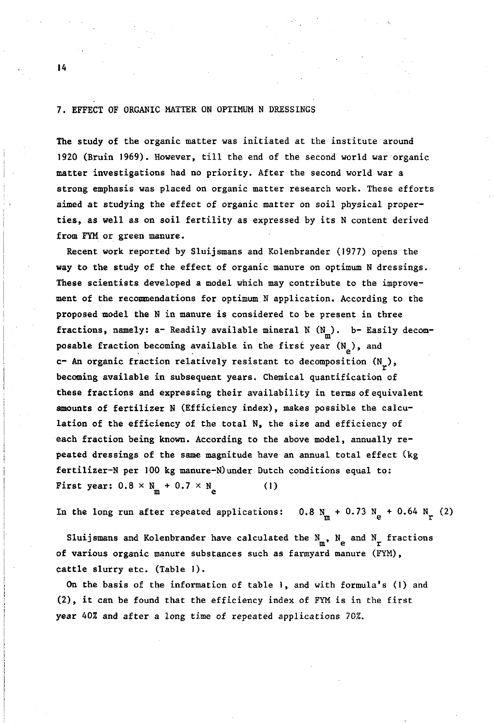#### 7. EFFECT OF ORGANIC MATTER ON OPTIMUM N DRESSINGS

The study of the organic matter was initiated at the institute around 1920 (Bruin 1969). However, till the end of the second world war organic matter investigations had no priority. After the second world war a strong emphasis was placed on organic matter research work. These efforts aimed at studying the effect of organic matter on soil physical properties, as well as on soil fertility as expressed by its N content derived from FYM or green manure.

Recent work reported by Sluijsmans and Kolenbrander (1977) opens the way to the study of the effect of organic manure on optimum N dressings. These scientists developed a model which may contribute to the improvement of the recommendations for optimum N application. According to the proposed model the N in manure is considered to be present in three fractions, namely: a- Readily available mineral N  $(N_m)$ . b- Easily decomposable fraction becoming available in the first year  $(N_e)$ , and c- An organic fraction relatively resistant to decomposition  $(N_{\nu})$ , becoming available in subsequent years. Chemical quantification of these fractions and expressing their availability in terms of equivalent amounts of fertilizer N (Efficiency index), makes possible the calculation of the efficiency of the total N, the size and efficiency of each fraction being known. According to the above model, annually repeated dressings of the same magnitude have an annual total effect (kg fertilizer-N per 100 kg manure-N) under Dutch conditions equal to: fertilizer-N per 100 kg manure-N)under Dutch conditions equal to:  $\mathbb{R}$  and  $\mathbb{R}$  and  $\mathbb{R}$  are  $\mathbb{R}$  and  $\mathbb{R}$  and  $\mathbb{R}$  are  $\mathbb{R}$  and  $\mathbb{R}$  and  $\mathbb{R}$  are  $\mathbb{R}$  and  $\mathbb{R}$  and  $\mathbb{R}$  are  $\mathbb{R}$  and  $\mathbb{R}$  and  $\mathbb{R}$  are  $\mathbb{R}$  and  $\mathbb{R}$  and

m extended In the long run after repeated applications.  $0.8$  N + 0.73

Sluijsmans and Kolenbrander have calculated the  $N_m$ ,  $N_e$  and  $N_r$  fractions of various organic manure substances such as farmyard manure (FYM), cattle slurry etc. (Table 1).

On the basis of the information of table 1, and with formula's (1) and  $(2)$ , it can be found that the efficiency index of FYM is in the first year 40% and after a long time of repeated applications 70%.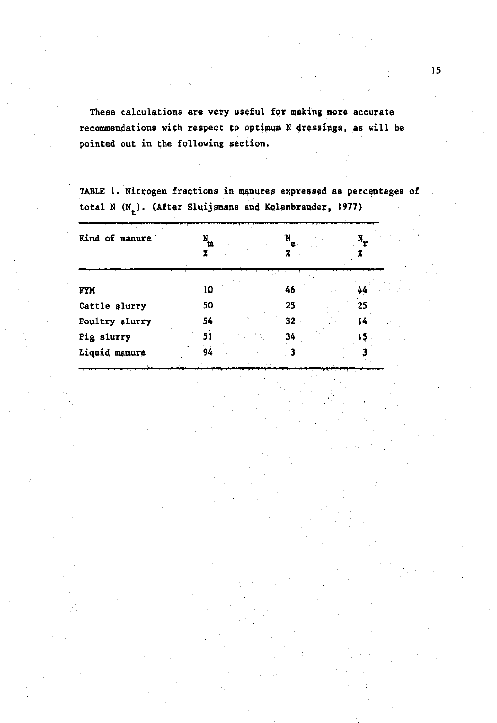These calculations are very useful for making more accurate **recommendations with respect to optimum N dressings, as will be pointed out in the following section.** 

| Kind of manure | N  | m  | N<br>$\mathbf{e}$<br>Z | N. |
|----------------|----|----|------------------------|----|
|                |    |    |                        |    |
| FYM            |    | 10 | 46                     | 44 |
| Cattle slurry  | 50 |    | 25                     | 25 |
| Poultry slurry | 54 |    | 32                     | 14 |
| Pig slurry     | 51 |    | 34                     |    |
| Liquid manure  | 94 |    |                        |    |

**TABLE 1. Nitrogen fractions in manures expressed as percentages of**  total N (N<sub>t</sub>). (After Sluijsmans and Kolenbrander, 1977)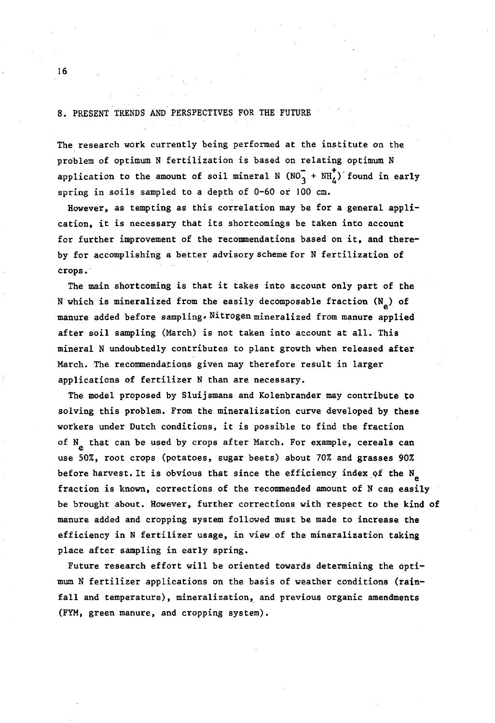#### 8. PRESENT TRENDS AND PERSPECTIVES FOR THE FUTURE

The research work currently being performed at the institute on the problem of optimum N fertilization is based on relating optimum N application to the amount of soil mineral N (NO $_3^+$  + NH<sub>4</sub>) found in early spring in soils sampled to a depth of 0-60 or 100 cm.

However, as tempting as this correlation may be for a general application, it is necessary that its shortcomings be taken into account for further improvement of the recommendations based on it, and thereby for accomplishing a better advisory scheme for N fertilization of crops.

The main shortcoming is that it takes into account only part of the N which is mineralized from the easily decomposable fraction  $(N_a)$  of manure added before sampling» Nitrogen mineralized from manure applied after soil sampling (March) is not taken into account at all. This mineral N undoubtedly contributes to plant growth when released after March. The recommendations given may therefore result in larger applications of fertilizer N than are necessary.

The model proposed by Sluijsmans and Kolenbrander may contribute to solving this problem. From the mineralization curve developed by these workers under Dutch conditions, it is possible to find the fraction of  $N_a$  that can be used by crops after March. For example, cereals can use 50%, root crops (potatoes, sugar beets) about 70% and grasses 90% before harvest. It is obvious that since the efficiency index of the  $N_a$ fraction is known, corrections of the recommended amount of N can easily be brought about. However, further corrections with respect to the kind of manure added and cropping system followed must be made to increase the efficiency in N fertilizer usage, in view of the mineralization taking place after sampling in early spring.

Future research effort will be oriented towards determining the optimum N fertilizer applications on the basis of weather conditions (rainfall and temperature), mineralization, and previous organic amendments (FYM, green manure, and cropping system).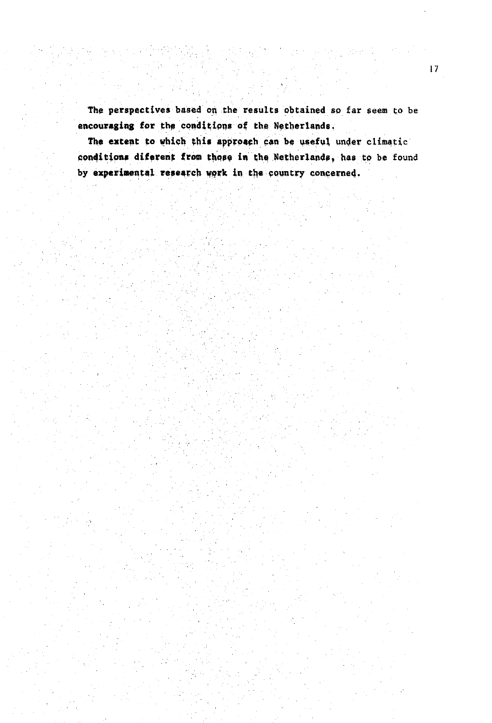**The perspectives** based on the results obtained so far seem to be **encouraging for the conditions of the Netherlands.** 

The extent to which this approach can be useful under climatic **conditions diferent from those in thq Netherlands» has** to be found **by experimental research work in the country concerned.**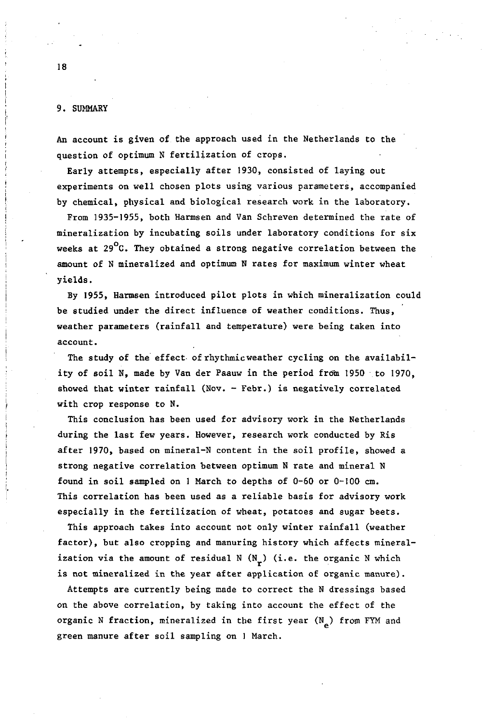#### 9. SUMMARY

An account is given of the approach used in the Netherlands to the question of optimum N fertilization of crops.

Early attempts, especially after 1930, consisted of laying out experiments on well chosen plots using various parameters, accompanied by chemical, physical and biological research work in the laboratory.

From 1935-1955, both Harmsen and Van Schreven determined the rate of mineralization by incubating soils under laboratory conditions for six weeks at  $29^{\circ}$ C. They obtained a strong negative correlation between the amount of N mineralized and optimum N rates for maximum winter wheat yields.

By 1955, Harmsen introduced pilot plots in which mineralization could be studied under the direct influence of weather conditions. Thus, weather parameters (rainfall and temperature) were being taken into account.

The study of the effect of rhythmic weather cycling on the availability of soil N, made by Van der Paauw in the period from 1950 to 1970, showed that winter rainfall (Nov. - Febr.) is negatively correlated with crop response to N.

This conclusion has been used for advisory work in the Netherlands during the last few years. However, research work conducted by Ris after 1970, based on mineral-N content in the soil profile, showed a strong negative correlation between optimum N rate and mineral N found in soil sampled on 1 March to depths of 0-60 or 0-100 cm. This correlation has been used as a reliable basis for advisory work especially in the fertilization of wheat, potatoes and sugar beets.

This approach takes into account not only winter rainfall (weather factor), but also cropping and manuring history which affects mineralization via the amount of residual N  $(N_r)$  (i.e. the organic N which is not mineralized in the year after application of organic manure).

Attempts are currently being made to correct the N dressings based on the above correlation, by taking into account the effect of the organic N fraction, mineralized in the first year  $(N_{\alpha})$  from FYM and green manure after soil sampling on 1 March.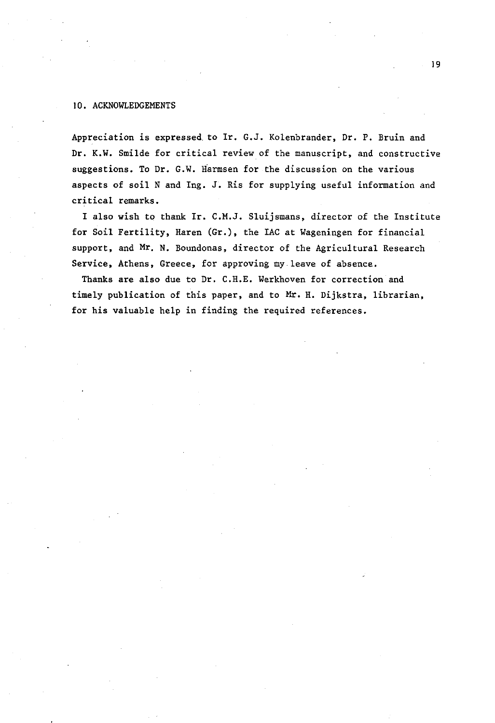#### 10. ACKNOWLEDGEMENTS

Appreciation is expressed, to Ir. G.J. Kolenbrander, Dr. P. Bruin and Dr. K.W. Smilde for critical review of the manuscript, and constructive suggestions. To Dr. G.W. Harmsen for the discussion on the various aspects of soil N and Ing. J. Ris for supplying useful information and critical remarks.

I also wish to thank Ir. C.M.J. Sluijsmans, director of the Institute for Soil Fertility, Haren (Gr.), the IAC at Wageningen for financial support, and Mr. N. Boundonas, director of the Agricultural Research Service, Athens, Greece, for approving my leave of absence.

Thanks are also due to Dr. C.H.E. Werkhoven for correction and timely publication of this paper, and to Mr. H. Dijkstra, librarian, for his valuable help in finding the required references.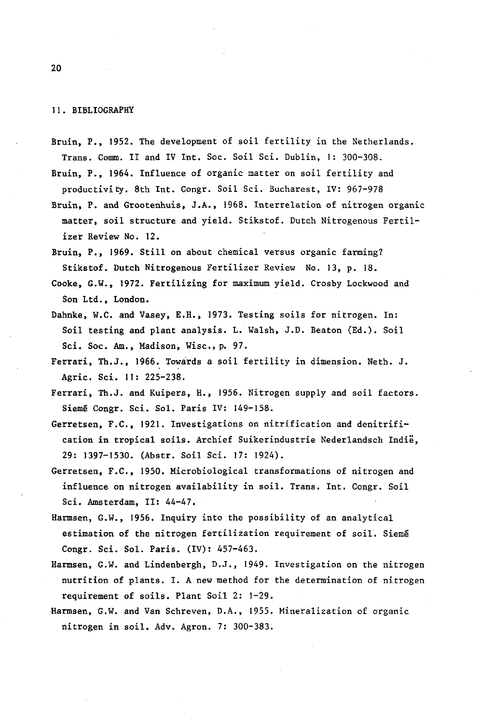#### 11. BIBLIOGRAPHY

Bruin, P., 1952. The development of soil fertility in the Netherlands. Trans. Comm. II and IV Int. Soc. Soil Sei. Dublin, 1: 300-308.

Bruin, P., 1964. Influence of organic matter on soil fertility and productivity. 8th Int. Congr. Soil Sei. Bucharest, IV: 967-978

- Bruin, P. and Grootenhuis, J.A., 1968. Interrelation of nitrogen organic matter, soil structure and yield. Stikstof. Dutch Nitrogenous Fertilizer Review No. 12.
- Bruin, P., 1969. Still on about chemical versus organic farming? Stikstof. Dutch Nitrogenous Fertilizer Review No. 13, p. 18.
- Cooke, G.W., 1972. Fertilizing for maximum yield. Crosby Lockwood and Son Ltd., London.
- Dahnke, W.C. and Vasey, E.H., 1973. Testing soils for nitrogen. In: Soil testing and plant analysis. L. Walsh, J.D. Beaton (Ed.). Soil Sei. Soc. Am., Madison, Wise, p. 97.
- Ferrari, Th.J., 1966. Towards a soil fertility in dimension. Neth. J. Agric. Sei. 11: 225-238.
- Ferrari, Th.J. and Kuipers, H., 1956. Nitrogen supply and soil factors. Siemé Congr. Sei. Sol. Paris IV: 149-158.
- Gerretsen, F.C., 1921. Investigations on nitrification and denitrification in tropical soils. Archief Suikerindustrie Nederlandsch Indië, 29: 1397-1530. (Abstr. Soil Sei. 17: 1924).
- Gerretsen, F.C., 1950. Microbiological transformations of nitrogen and influence on nitrogen availability in soil. Trans. Int. Congr. Soil Sei. Amsterdam, II: 44-47.
- Harmsen, G.W., 1956. Inquiry into the possibility of an analytical estimation of the nitrogen fertilization requirement of soil. Siemé Congr. Sei. Sol. Paris. (IV): 457-463.
- Harmsen, G.W. and Lindenbergh, D.J., 1949. Investigation on the nitrogen nutrition of plants. I. A new method for the determination of nitrogen requirement of soils. Plant Soil 2: 1-29.
- Harmsen, G.W. and Van Schreven, D.A., 1955. Mineralization of organic nitrogen in soil. Adv. Agron. 7: 300-383.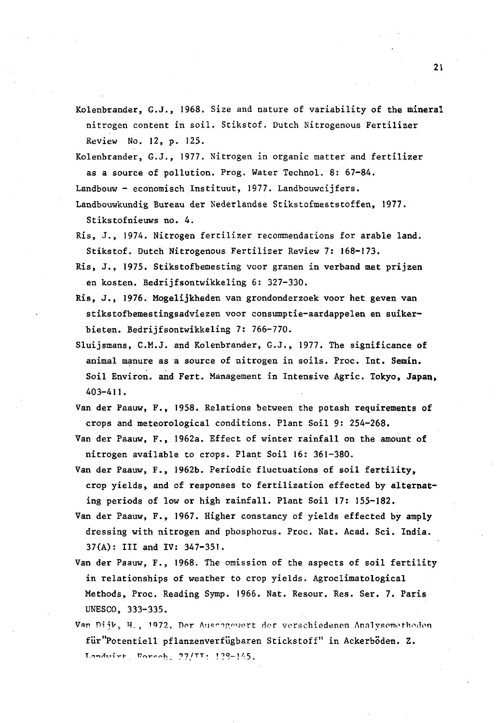- Kolenbrander, G.J., 1968. Size and nature of variability of the mineral nitrogen content in soil. Stikstof. Dutch Nitrogenous Fertilizer Review No. 12, p. 125.
- Kolenbrander, G.J., 1977. Nitrogen in organic matter and fertilizer as a source of pollution. Prog. Water Technol. 8: 67-84.

Landbouw- economisch Instituut, 1977. Landbouwcijfers.

Landbouwkundig Bureau der Nederlandse Stikstofmeststoffen, 1977. Stikstofnieuws no. 4.

- Ris, J., 1974. Nitrogen fertilizer recommendations for arable land. Stikstof. Dutch Nitrogenous Fertilizer Review 7: 168-173.
- Ris, J., 1975. Stikstofbemesting voor granen in verband met prijzen en kosten. Bedrijfsontwikkeling 6: 327-330.
- Ris, J., 1976. Mogelijkheden van grondonderzoek voor het geven van stikstofbemestingsadviezen voor consumptie-aardappelen en suikerbieten. Bedrijfsontwikkeling 7: 766-770.
- Sluijsmans, C.M.J. and Kolenbrander, G.J., 1977. The significance of animal manure as a source of nitrogen in soils. Proc. Int. Semin. Soil Environ, and Fert. Management in Intensive Agric. Tokyo, Japan, 403-411.
- Van der Paauw, F., 1958. Relations between the potash requirements of crops and meteorological conditions. Plant Soil 9: 254-268.
- Van der Paauw, F., 1962a. Effect of winter rainfall on the amount of nitrogen available to crops. Plant Soil 16: 361-380.
- Van der Paauw, F., 1962b. Periodic fluctuations of soil fertility, crop yields, and of responses to fertilization effected by alternating periods of low or high rainfall. Plant Soil 17: 155-182.
- Van der Paauw, F., 1967. Higher constancy of yields effected by amply dressing with nitrogen and phosphorus. Proc. Nat. Acad. Sei. India. 37(A): III and IV: 347-351.
- Van der Paauw, F., 1968. The omission of the aspects of soil fertility in relationships of weather to crop yields. Agroclimatological Methods, Proc. Reading Symp. 1966. Nat. Resour. Res. Ser. 7. Paris UNESCO, 333-335.
- Van Dijk, H., 1972. Der Aussagewert der verschiedenen Analysemethoden füV'Potentiell pflanzenverfügbaren Stickstoff" in Ackerböden. Z. Landwirt, Forceh.  $27/TT$ : 139-145.